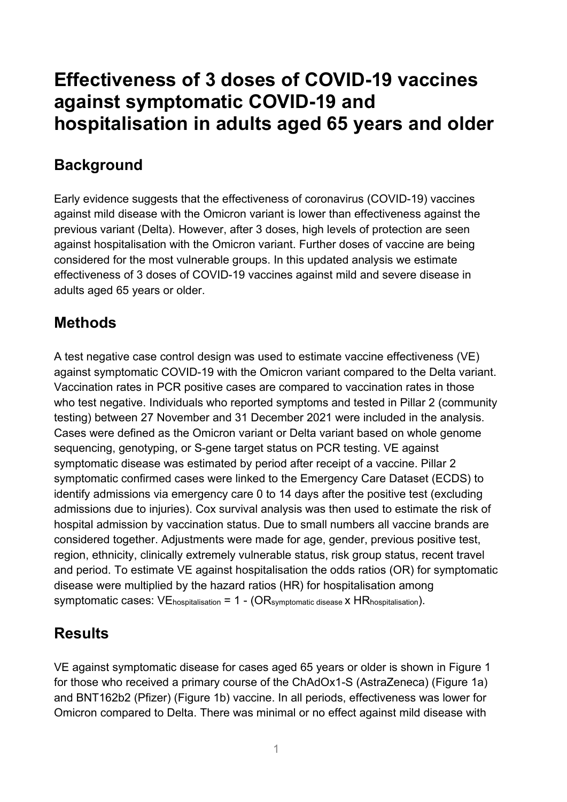## **Effectiveness of 3 doses of COVID-19 vaccines against symptomatic COVID-19 and hospitalisation in adults aged 65 years and older**

## **Background**

Early evidence suggests that the effectiveness of coronavirus (COVID-19) vaccines against mild disease with the Omicron variant is lower than effectiveness against the previous variant (Delta). However, after 3 doses, high levels of protection are seen against hospitalisation with the Omicron variant. Further doses of vaccine are being considered for the most vulnerable groups. In this updated analysis we estimate effectiveness of 3 doses of COVID-19 vaccines against mild and severe disease in adults aged 65 years or older.

## **Methods**

A test negative case control design was used to estimate vaccine effectiveness (VE) against symptomatic COVID-19 with the Omicron variant compared to the Delta variant. Vaccination rates in PCR positive cases are compared to vaccination rates in those who test negative. Individuals who reported symptoms and tested in Pillar 2 (community testing) between 27 November and 31 December 2021 were included in the analysis. Cases were defined as the Omicron variant or Delta variant based on whole genome sequencing, genotyping, or S-gene target status on PCR testing. VE against symptomatic disease was estimated by period after receipt of a vaccine. Pillar 2 symptomatic confirmed cases were linked to the Emergency Care Dataset (ECDS) to identify admissions via emergency care 0 to 14 days after the positive test (excluding admissions due to injuries). Cox survival analysis was then used to estimate the risk of hospital admission by vaccination status. Due to small numbers all vaccine brands are considered together. Adjustments were made for age, gender, previous positive test, region, ethnicity, clinically extremely vulnerable status, risk group status, recent travel and period. To estimate VE against hospitalisation the odds ratios (OR) for symptomatic disease were multiplied by the hazard ratios (HR) for hospitalisation among symptomatic cases:  $VE<sub>hospitalisation</sub> = 1 - (OR<sub>symptomatic disease</sub> x HR<sub>hospitalisation</sub>).$ 

## **Results**

VE against symptomatic disease for cases aged 65 years or older is shown in Figure 1 for those who received a primary course of the ChAdOx1-S (AstraZeneca) (Figure 1a) and BNT162b2 (Pfizer) (Figure 1b) vaccine. In all periods, effectiveness was lower for Omicron compared to Delta. There was minimal or no effect against mild disease with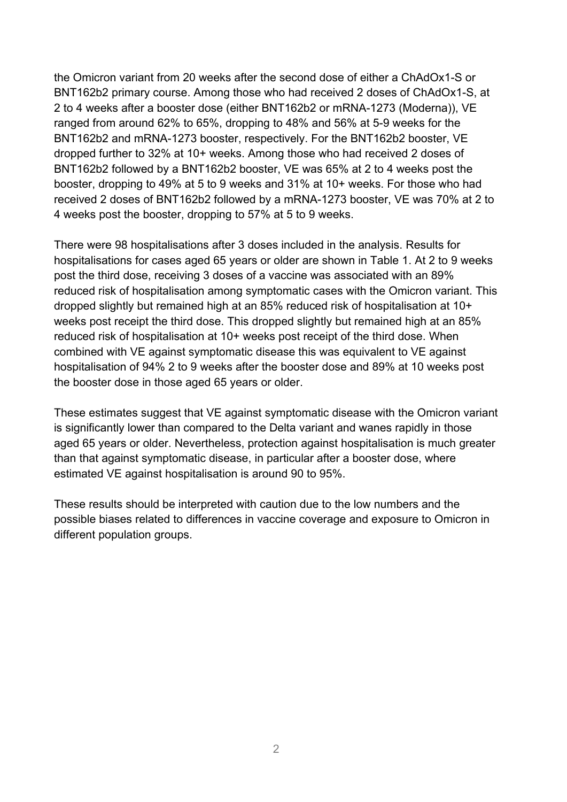the Omicron variant from 20 weeks after the second dose of either a ChAdOx1-S or BNT162b2 primary course. Among those who had received 2 doses of ChAdOx1-S, at 2 to 4 weeks after a booster dose (either BNT162b2 or mRNA-1273 (Moderna)), VE ranged from around 62% to 65%, dropping to 48% and 56% at 5-9 weeks for the BNT162b2 and mRNA-1273 booster, respectively. For the BNT162b2 booster, VE dropped further to 32% at 10+ weeks. Among those who had received 2 doses of BNT162b2 followed by a BNT162b2 booster, VE was 65% at 2 to 4 weeks post the booster, dropping to 49% at 5 to 9 weeks and 31% at 10+ weeks. For those who had received 2 doses of BNT162b2 followed by a mRNA-1273 booster, VE was 70% at 2 to 4 weeks post the booster, dropping to 57% at 5 to 9 weeks.

There were 98 hospitalisations after 3 doses included in the analysis. Results for hospitalisations for cases aged 65 years or older are shown in Table 1. At 2 to 9 weeks post the third dose, receiving 3 doses of a vaccine was associated with an 89% reduced risk of hospitalisation among symptomatic cases with the Omicron variant. This dropped slightly but remained high at an 85% reduced risk of hospitalisation at 10+ weeks post receipt the third dose. This dropped slightly but remained high at an 85% reduced risk of hospitalisation at 10+ weeks post receipt of the third dose. When combined with VE against symptomatic disease this was equivalent to VE against hospitalisation of 94% 2 to 9 weeks after the booster dose and 89% at 10 weeks post the booster dose in those aged 65 years or older.

These estimates suggest that VE against symptomatic disease with the Omicron variant is significantly lower than compared to the Delta variant and wanes rapidly in those aged 65 years or older. Nevertheless, protection against hospitalisation is much greater than that against symptomatic disease, in particular after a booster dose, where estimated VE against hospitalisation is around 90 to 95%.

These results should be interpreted with caution due to the low numbers and the possible biases related to differences in vaccine coverage and exposure to Omicron in different population groups.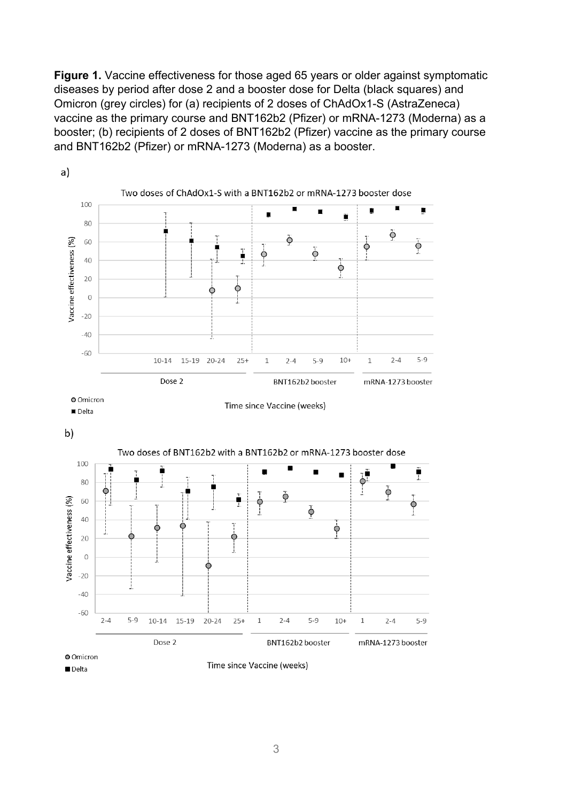**Figure 1.** Vaccine effectiveness for those aged 65 years or older against symptomatic diseases by period after dose 2 and a booster dose for Delta (black squares) and Omicron (grey circles) for (a) recipients of 2 doses of ChAdOx1-S (AstraZeneca) vaccine as the primary course and BNT162b2 (Pfizer) or mRNA-1273 (Moderna) as a booster; (b) recipients of 2 doses of BNT162b2 (Pfizer) vaccine as the primary course and BNT162b2 (Pfizer) or mRNA-1273 (Moderna) as a booster.